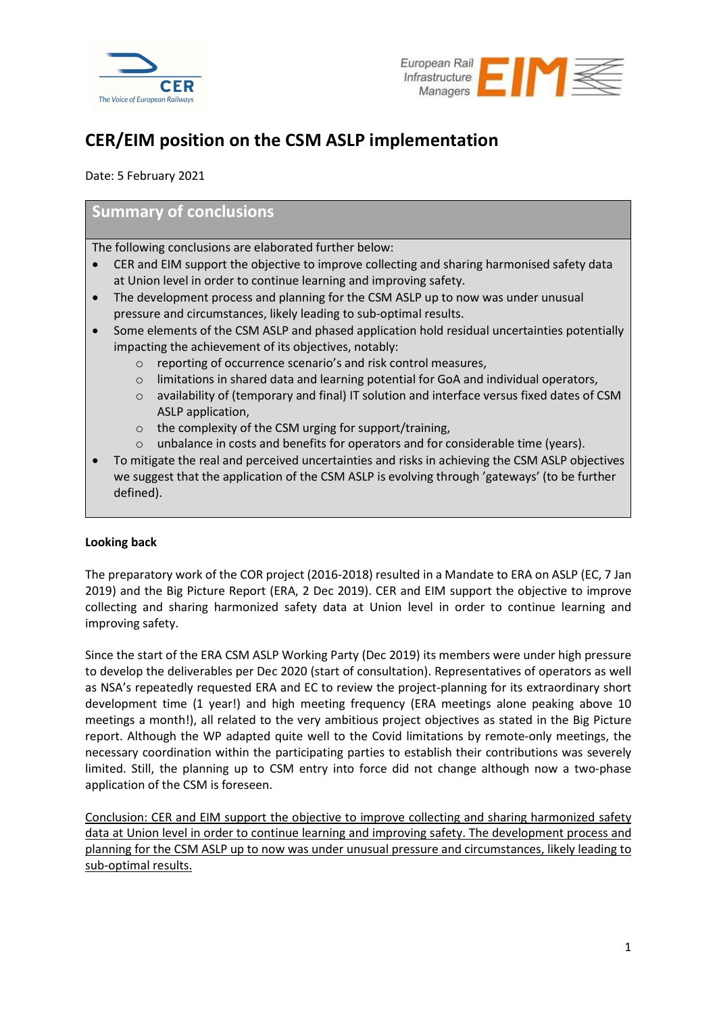



# CER/EIM position on the CSM ASLP implementation

Date: 5 February 2021

# Summary of conclusions

The following conclusions are elaborated further below:

- CER and EIM support the objective to improve collecting and sharing harmonised safety data at Union level in order to continue learning and improving safety.
- The development process and planning for the CSM ASLP up to now was under unusual pressure and circumstances, likely leading to sub-optimal results.
- Some elements of the CSM ASLP and phased application hold residual uncertainties potentially impacting the achievement of its objectives, notably:
	- o reporting of occurrence scenario's and risk control measures,
	- $\circ$  limitations in shared data and learning potential for GoA and individual operators,
	- o availability of (temporary and final) IT solution and interface versus fixed dates of CSM ASLP application,
	- o the complexity of the CSM urging for support/training,
	- o unbalance in costs and benefits for operators and for considerable time (years).
- To mitigate the real and perceived uncertainties and risks in achieving the CSM ASLP objectives we suggest that the application of the CSM ASLP is evolving through 'gateways' (to be further defined).

# Looking back

The preparatory work of the COR project (2016-2018) resulted in a Mandate to ERA on ASLP (EC, 7 Jan 2019) and the Big Picture Report (ERA, 2 Dec 2019). CER and EIM support the objective to improve collecting and sharing harmonized safety data at Union level in order to continue learning and improving safety.

Since the start of the ERA CSM ASLP Working Party (Dec 2019) its members were under high pressure to develop the deliverables per Dec 2020 (start of consultation). Representatives of operators as well as NSA's repeatedly requested ERA and EC to review the project-planning for its extraordinary short development time (1 year!) and high meeting frequency (ERA meetings alone peaking above 10 meetings a month!), all related to the very ambitious project objectives as stated in the Big Picture report. Although the WP adapted quite well to the Covid limitations by remote-only meetings, the necessary coordination within the participating parties to establish their contributions was severely limited. Still, the planning up to CSM entry into force did not change although now a two-phase application of the CSM is foreseen.

Conclusion: CER and EIM support the objective to improve collecting and sharing harmonized safety data at Union level in order to continue learning and improving safety. The development process and planning for the CSM ASLP up to now was under unusual pressure and circumstances, likely leading to sub-optimal results.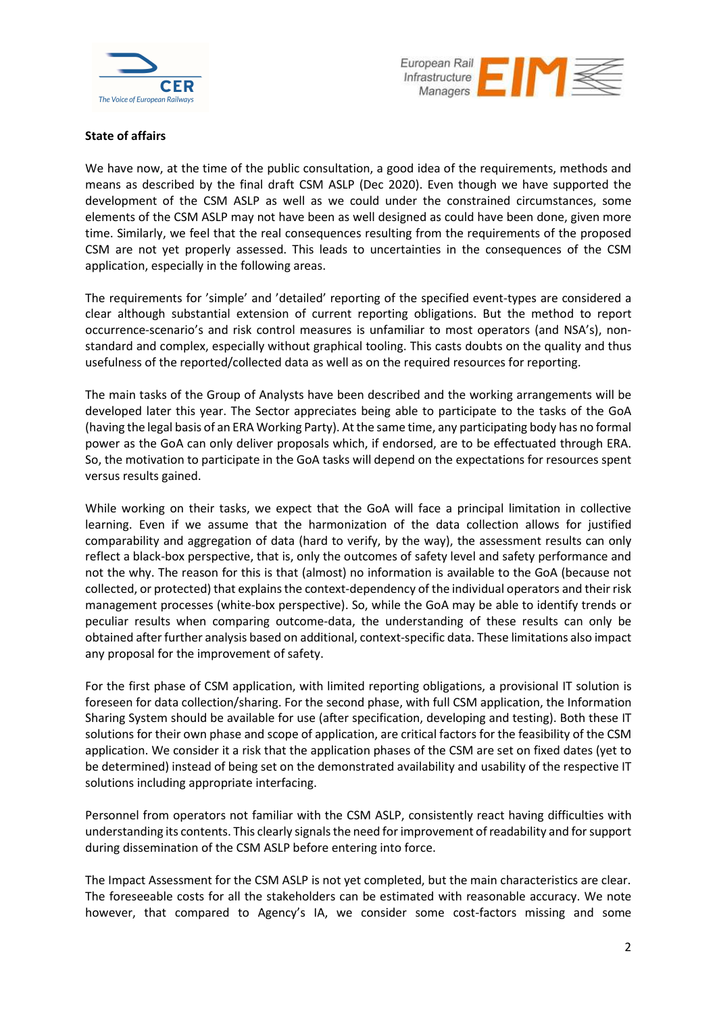



#### State of affairs

We have now, at the time of the public consultation, a good idea of the requirements, methods and means as described by the final draft CSM ASLP (Dec 2020). Even though we have supported the development of the CSM ASLP as well as we could under the constrained circumstances, some elements of the CSM ASLP may not have been as well designed as could have been done, given more time. Similarly, we feel that the real consequences resulting from the requirements of the proposed CSM are not yet properly assessed. This leads to uncertainties in the consequences of the CSM application, especially in the following areas.

The requirements for 'simple' and 'detailed' reporting of the specified event-types are considered a clear although substantial extension of current reporting obligations. But the method to report occurrence-scenario's and risk control measures is unfamiliar to most operators (and NSA's), nonstandard and complex, especially without graphical tooling. This casts doubts on the quality and thus usefulness of the reported/collected data as well as on the required resources for reporting.

The main tasks of the Group of Analysts have been described and the working arrangements will be developed later this year. The Sector appreciates being able to participate to the tasks of the GoA (having the legal basis of an ERA Working Party). At the same time, any participating body has no formal power as the GoA can only deliver proposals which, if endorsed, are to be effectuated through ERA. So, the motivation to participate in the GoA tasks will depend on the expectations for resources spent versus results gained.

While working on their tasks, we expect that the GoA will face a principal limitation in collective learning. Even if we assume that the harmonization of the data collection allows for justified comparability and aggregation of data (hard to verify, by the way), the assessment results can only reflect a black-box perspective, that is, only the outcomes of safety level and safety performance and not the why. The reason for this is that (almost) no information is available to the GoA (because not collected, or protected) that explains the context-dependency of the individual operators and their risk management processes (white-box perspective). So, while the GoA may be able to identify trends or peculiar results when comparing outcome-data, the understanding of these results can only be obtained after further analysis based on additional, context-specific data. These limitations also impact any proposal for the improvement of safety.

For the first phase of CSM application, with limited reporting obligations, a provisional IT solution is foreseen for data collection/sharing. For the second phase, with full CSM application, the Information Sharing System should be available for use (after specification, developing and testing). Both these IT solutions for their own phase and scope of application, are critical factors for the feasibility of the CSM application. We consider it a risk that the application phases of the CSM are set on fixed dates (yet to be determined) instead of being set on the demonstrated availability and usability of the respective IT solutions including appropriate interfacing.

Personnel from operators not familiar with the CSM ASLP, consistently react having difficulties with understanding its contents. This clearly signals the need for improvement of readability and for support during dissemination of the CSM ASLP before entering into force.

The Impact Assessment for the CSM ASLP is not yet completed, but the main characteristics are clear. The foreseeable costs for all the stakeholders can be estimated with reasonable accuracy. We note however, that compared to Agency's IA, we consider some cost-factors missing and some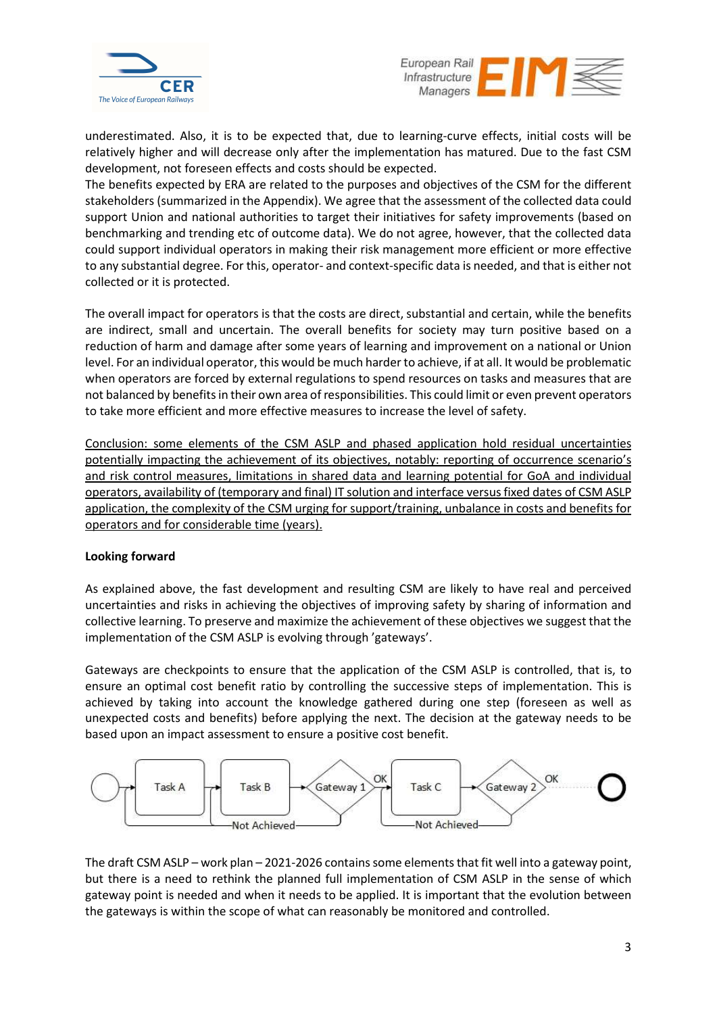



underestimated. Also, it is to be expected that, due to learning-curve effects, initial costs will be relatively higher and will decrease only after the implementation has matured. Due to the fast CSM development, not foreseen effects and costs should be expected.

The benefits expected by ERA are related to the purposes and objectives of the CSM for the different stakeholders (summarized in the Appendix). We agree that the assessment of the collected data could support Union and national authorities to target their initiatives for safety improvements (based on benchmarking and trending etc of outcome data). We do not agree, however, that the collected data could support individual operators in making their risk management more efficient or more effective to any substantial degree. For this, operator- and context-specific data is needed, and that is either not collected or it is protected.

The overall impact for operators is that the costs are direct, substantial and certain, while the benefits are indirect, small and uncertain. The overall benefits for society may turn positive based on a reduction of harm and damage after some years of learning and improvement on a national or Union level. For an individual operator, this would be much harder to achieve, if at all. It would be problematic when operators are forced by external regulations to spend resources on tasks and measures that are not balanced by benefits in their own area of responsibilities. This could limit or even prevent operators to take more efficient and more effective measures to increase the level of safety.

Conclusion: some elements of the CSM ASLP and phased application hold residual uncertainties potentially impacting the achievement of its objectives, notably: reporting of occurrence scenario's and risk control measures, limitations in shared data and learning potential for GoA and individual operators, availability of (temporary and final) IT solution and interface versus fixed dates of CSM ASLP application, the complexity of the CSM urging for support/training, unbalance in costs and benefits for operators and for considerable time (years).

# Looking forward

As explained above, the fast development and resulting CSM are likely to have real and perceived uncertainties and risks in achieving the objectives of improving safety by sharing of information and collective learning. To preserve and maximize the achievement of these objectives we suggest that the implementation of the CSM ASLP is evolving through 'gateways'.

Gateways are checkpoints to ensure that the application of the CSM ASLP is controlled, that is, to ensure an optimal cost benefit ratio by controlling the successive steps of implementation. This is achieved by taking into account the knowledge gathered during one step (foreseen as well as unexpected costs and benefits) before applying the next. The decision at the gateway needs to be based upon an impact assessment to ensure a positive cost benefit.



The draft CSM ASLP – work plan – 2021-2026 contains some elements that fit well into a gateway point, but there is a need to rethink the planned full implementation of CSM ASLP in the sense of which gateway point is needed and when it needs to be applied. It is important that the evolution between the gateways is within the scope of what can reasonably be monitored and controlled.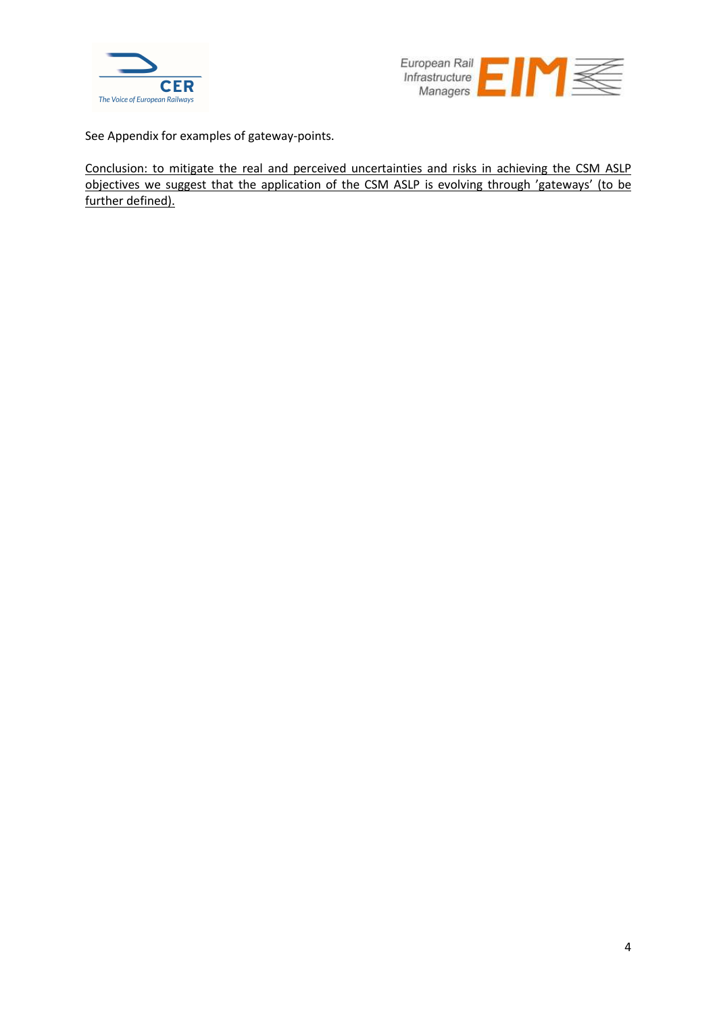



See Appendix for examples of gateway-points.

Conclusion: to mitigate the real and perceived uncertainties and risks in achieving the CSM ASLP objectives we suggest that the application of the CSM ASLP is evolving through 'gateways' (to be further defined).